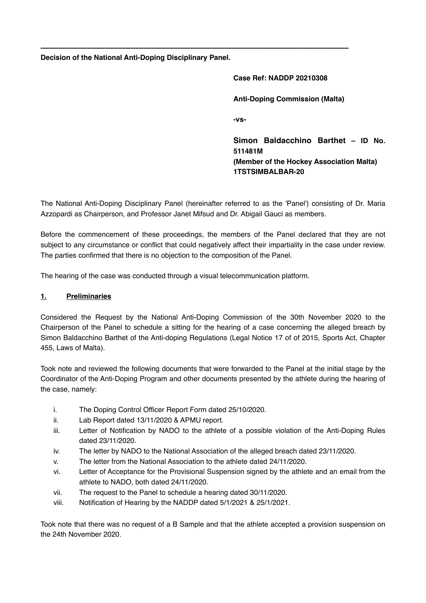**Decision of the National Anti-Doping Disciplinary Panel.**

**Case Ref: NADDP 20210308 Anti-Doping Commission (Malta) -vs-Simon Baldacchino Barthet – ID No. 511481M (Member of the Hockey Association Malta) 1TSTSIMBALBAR-20**

The National Anti-Doping Disciplinary Panel (hereinafter referred to as the 'Panel') consisting of Dr. Maria Azzopardi as Chairperson, and Professor Janet Mifsud and Dr. Abigail Gauci as members.

**\_\_\_\_\_\_\_\_\_\_\_\_\_\_\_\_\_\_\_\_\_\_\_\_\_\_\_\_\_\_\_\_\_\_\_\_\_\_\_\_\_\_\_\_\_\_\_\_\_\_\_\_\_\_\_\_\_\_\_\_\_\_\_\_\_\_\_\_\_\_\_\_**

Before the commencement of these proceedings, the members of the Panel declared that they are not subject to any circumstance or conflict that could negatively affect their impartiality in the case under review. The parties confirmed that there is no objection to the composition of the Panel.

The hearing of the case was conducted through a visual telecommunication platform.

## **1. Preliminaries**

Considered the Request by the National Anti-Doping Commission of the 30th November 2020 to the Chairperson of the Panel to schedule a sitting for the hearing of a case concerning the alleged breach by Simon Baldacchino Barthet of the Anti-doping Regulations (Legal Notice 17 of of 2015, Sports Act, Chapter 455, Laws of Malta).

Took note and reviewed the following documents that were forwarded to the Panel at the initial stage by the Coordinator of the Anti-Doping Program and other documents presented by the athlete during the hearing of the case, namely:

- i. The Doping Control Officer Report Form dated 25/10/2020.
- ii. Lab Report dated 13/11/2020 & APMU report.
- iii. Letter of Notification by NADO to the athlete of a possible violation of the Anti-Doping Rules dated 23/11/2020.
- iv. The letter by NADO to the National Association of the alleged breach dated 23/11/2020.
- v. The letter from the National Association to the athlete dated 24/11/2020.
- vi. Letter of Acceptance for the Provisional Suspension signed by the athlete and an email from the athlete to NADO, both dated 24/11/2020.
- vii. The request to the Panel to schedule a hearing dated 30/11/2020.
- viii. Notification of Hearing by the NADDP dated 5/1/2021 & 25/1/2021.

Took note that there was no request of a B Sample and that the athlete accepted a provision suspension on the 24th November 2020.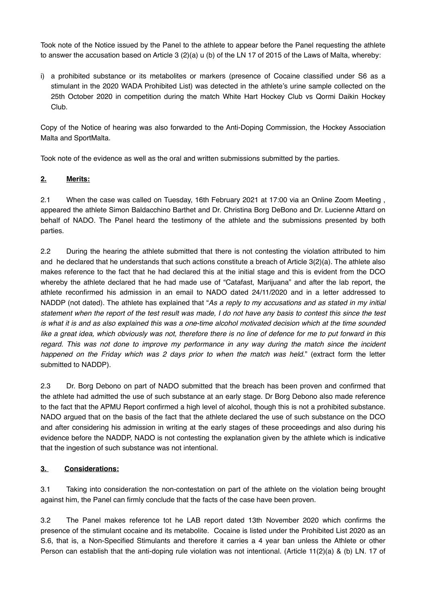Took note of the Notice issued by the Panel to the athlete to appear before the Panel requesting the athlete to answer the accusation based on Article 3 (2)(a) u (b) of the LN 17 of 2015 of the Laws of Malta, whereby:

i) a prohibited substance or its metabolites or markers (presence of Cocaine classified under S6 as a stimulant in the 2020 WADA Prohibited List) was detected in the athlete's urine sample collected on the 25th October 2020 in competition during the match White Hart Hockey Club vs Qormi Daikin Hockey Club.

Copy of the Notice of hearing was also forwarded to the Anti-Doping Commission, the Hockey Association Malta and SportMalta.

Took note of the evidence as well as the oral and written submissions submitted by the parties.

## **2. Merits:**

2.1 When the case was called on Tuesday, 16th February 2021 at 17:00 via an Online Zoom Meeting , appeared the athlete Simon Baldacchino Barthet and Dr. Christina Borg DeBono and Dr. Lucienne Attard on behalf of NADO. The Panel heard the testimony of the athlete and the submissions presented by both parties.

2.2 During the hearing the athlete submitted that there is not contesting the violation attributed to him and he declared that he understands that such actions constitute a breach of Article 3(2)(a). The athlete also makes reference to the fact that he had declared this at the initial stage and this is evident from the DCO whereby the athlete declared that he had made use of "Catafast, Marijuana" and after the lab report, the athlete reconfirmed his admission in an email to NADO dated 24/11/2020 and in a letter addressed to NADDP (not dated). The athlete has explained that "*As a reply to my accusations and as stated in my initial statement when the report of the test result was made, I do not have any basis to contest this since the test is what it is and as also explained this was a one-time alcohol motivated decision which at the time sounded like a great idea, which obviously was not, therefore there is no line of defence for me to put forward in this regard. This was not done to improve my performance in any way during the match since the incident happened on the Friday which was 2 days prior to when the match was held.*" (extract form the letter submitted to NADDP).

2.3 Dr. Borg Debono on part of NADO submitted that the breach has been proven and confirmed that the athlete had admitted the use of such substance at an early stage. Dr Borg Debono also made reference to the fact that the APMU Report confirmed a high level of alcohol, though this is not a prohibited substance. NADO argued that on the basis of the fact that the athlete declared the use of such substance on the DCO and after considering his admission in writing at the early stages of these proceedings and also during his evidence before the NADDP, NADO is not contesting the explanation given by the athlete which is indicative that the ingestion of such substance was not intentional.

## **3. Considerations:**

3.1 Taking into consideration the non-contestation on part of the athlete on the violation being brought against him, the Panel can firmly conclude that the facts of the case have been proven.

3.2 The Panel makes reference tot he LAB report dated 13th November 2020 which confirms the presence of the stimulant cocaine and its metabolite. Cocaine is listed under the Prohibited List 2020 as an S.6, that is, a Non-Specified Stimulants and therefore it carries a 4 year ban unless the Athlete or other Person can establish that the anti-doping rule violation was not intentional. (Article 11(2)(a) & (b) LN. 17 of